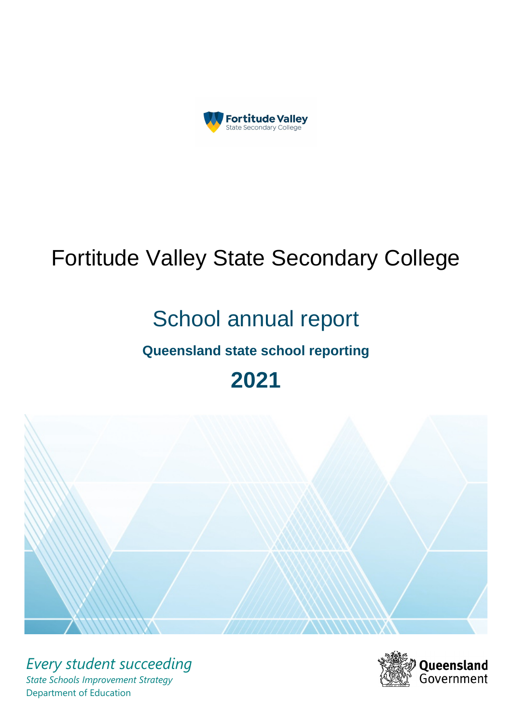

# Fortitude Valley State Secondary College

# School annual report

# **Queensland state school reporting**

# **2021**



*Every student succeeding State Schools Improvement Strategy* Department of Education

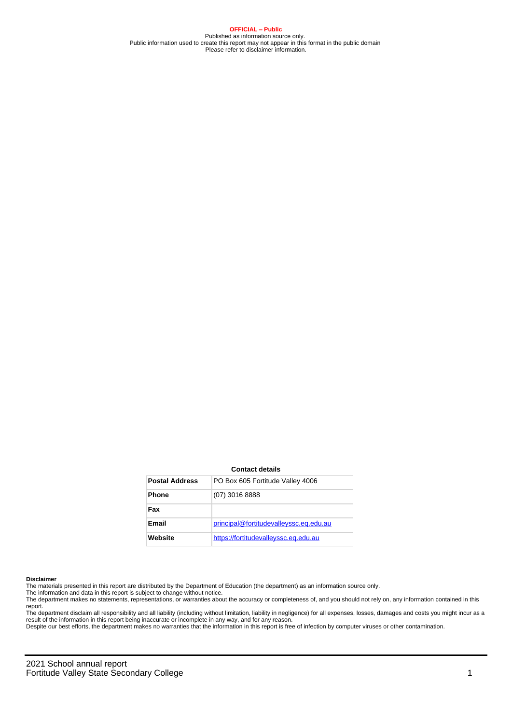**OFFICIAL – Public** Published as information source only. Public information used to create this report may not appear in this format in the public domain Please refer to disclaimer information.

#### **Contact details**

| <b>Postal Address</b> | PO Box 605 Fortitude Valley 4006       |
|-----------------------|----------------------------------------|
| <b>Phone</b>          | $(07)$ 3016 8888                       |
| Fax                   |                                        |
| Email                 | principal@fortitudevalleyssc.eq.edu.au |
| Website               | https://fortitudevalleyssc.eq.edu.au   |

#### **Disclaimer**

The materials presented in this report are distributed by the Department of Education (the department) as an information source only.

The information and data in this report is subject to change without notice.<br>The department makes no statements, representations, or warranties about the accuracy or completeness of, and you should not rely on, any informa report.

The department disclaim all responsibility and all liability (including without limitation, liability in negligence) for all expenses, losses, damages and costs you might incur as a result of the information in this report being inaccurate or incomplete in any way, and for any reason.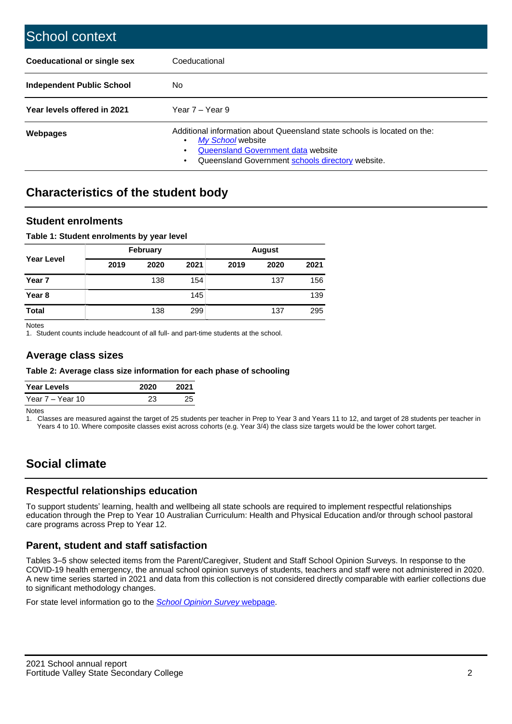| School context                   |                                                                                                                                                                                              |
|----------------------------------|----------------------------------------------------------------------------------------------------------------------------------------------------------------------------------------------|
| Coeducational or single sex      | Coeducational                                                                                                                                                                                |
| <b>Independent Public School</b> | No.                                                                                                                                                                                          |
| Year levels offered in 2021      | Year $7 -$ Year 9                                                                                                                                                                            |
| Webpages                         | Additional information about Queensland state schools is located on the:<br>My School website<br>Queensland Government data website<br>Queensland Government schools directory website.<br>٠ |

## **Characteristics of the student body**

#### **Student enrolments**

#### **Table 1: Student enrolments by year level**

|                   |      | <b>February</b> |      | <b>August</b> |      |      |  |
|-------------------|------|-----------------|------|---------------|------|------|--|
| <b>Year Level</b> | 2019 | 2020            | 2021 | 2019          | 2020 | 2021 |  |
| Year 7            |      | 138             | 154  |               | 137  | 156  |  |
| Year <sub>8</sub> |      |                 | 145  |               |      | 139  |  |
| <b>Total</b>      |      | 138             | 299  |               | 137  | 295  |  |

Notes

1. Student counts include headcount of all full- and part-time students at the school.

#### **Average class sizes**

#### **Table 2: Average class size information for each phase of schooling**

| <b>Year Levels</b> | 2020 | 2021 |
|--------------------|------|------|
| Year 7 – Year 10   |      | つに   |

Notes

1. Classes are measured against the target of 25 students per teacher in Prep to Year 3 and Years 11 to 12, and target of 28 students per teacher in Years 4 to 10. Where composite classes exist across cohorts (e.g. Year 3/4) the class size targets would be the lower cohort target.

## **Social climate**

#### **Respectful relationships education**

To support students' learning, health and wellbeing all state schools are required to implement respectful relationships education through the Prep to Year 10 Australian Curriculum: Health and Physical Education and/or through school pastoral care programs across Prep to Year 12.

#### **Parent, student and staff satisfaction**

Tables 3–5 show selected items from the Parent/Caregiver, Student and Staff School Opinion Surveys. In response to the COVID-19 health emergency, the annual school opinion surveys of students, teachers and staff were not administered in 2020. A new time series started in 2021 and data from this collection is not considered directly comparable with earlier collections due to significant methodology changes.

For state level information go to the **[School Opinion Survey](https://qed.qld.gov.au/publications/reports/statistics/schooling/schools/schoolopinionsurvey) webpage**.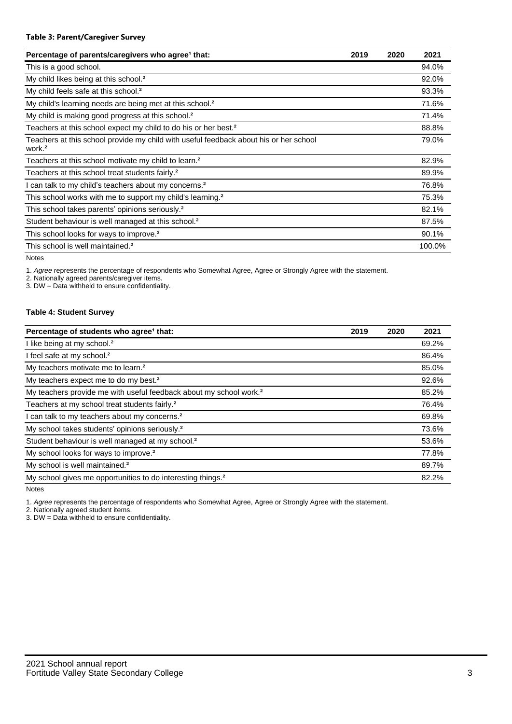| Percentage of parents/caregivers who agree <sup>1</sup> that:                                               | 2019 | 2020 | 2021   |
|-------------------------------------------------------------------------------------------------------------|------|------|--------|
| This is a good school.                                                                                      |      |      | 94.0%  |
| My child likes being at this school. <sup>2</sup>                                                           |      |      | 92.0%  |
| My child feels safe at this school. <sup>2</sup>                                                            |      |      | 93.3%  |
| My child's learning needs are being met at this school. <sup>2</sup>                                        |      |      | 71.6%  |
| My child is making good progress at this school. <sup>2</sup>                                               |      |      | 71.4%  |
| Teachers at this school expect my child to do his or her best. <sup>2</sup>                                 |      |      | 88.8%  |
| Teachers at this school provide my child with useful feedback about his or her school<br>work. <sup>2</sup> |      |      | 79.0%  |
| Teachers at this school motivate my child to learn. <sup>2</sup>                                            |      |      | 82.9%  |
| Teachers at this school treat students fairly. <sup>2</sup>                                                 |      |      | 89.9%  |
| I can talk to my child's teachers about my concerns. <sup>2</sup>                                           |      |      | 76.8%  |
| This school works with me to support my child's learning. <sup>2</sup>                                      |      |      | 75.3%  |
| This school takes parents' opinions seriously. <sup>2</sup>                                                 |      |      | 82.1%  |
| Student behaviour is well managed at this school. <sup>2</sup>                                              |      |      | 87.5%  |
| This school looks for ways to improve. <sup>2</sup>                                                         |      |      | 90.1%  |
| This school is well maintained. <sup>2</sup>                                                                |      |      | 100.0% |

Notes

1. Agree represents the percentage of respondents who Somewhat Agree, Agree or Strongly Agree with the statement.

2. Nationally agreed parents/caregiver items.

3. DW = Data withheld to ensure confidentiality.

#### **Table 4: Student Survey**

| Percentage of students who agree <sup>1</sup> that:                            | 2019 | 2020 | 2021  |
|--------------------------------------------------------------------------------|------|------|-------|
| I like being at my school. <sup>2</sup>                                        |      |      | 69.2% |
| I feel safe at my school. <sup>2</sup>                                         |      |      | 86.4% |
| My teachers motivate me to learn. <sup>2</sup>                                 |      |      | 85.0% |
| My teachers expect me to do my best. <sup>2</sup>                              |      |      | 92.6% |
| My teachers provide me with useful feedback about my school work. <sup>2</sup> |      |      | 85.2% |
| Teachers at my school treat students fairly. <sup>2</sup>                      |      |      | 76.4% |
| can talk to my teachers about my concerns. <sup>2</sup>                        |      |      | 69.8% |
| My school takes students' opinions seriously. <sup>2</sup>                     |      |      | 73.6% |
| Student behaviour is well managed at my school. <sup>2</sup>                   |      |      | 53.6% |
| My school looks for ways to improve. <sup>2</sup>                              |      |      | 77.8% |
| My school is well maintained. <sup>2</sup>                                     |      |      | 89.7% |
| My school gives me opportunities to do interesting things. <sup>2</sup>        |      |      | 82.2% |

Notes

1. Agree represents the percentage of respondents who Somewhat Agree, Agree or Strongly Agree with the statement.

2. Nationally agreed student items.

3. DW = Data withheld to ensure confidentiality.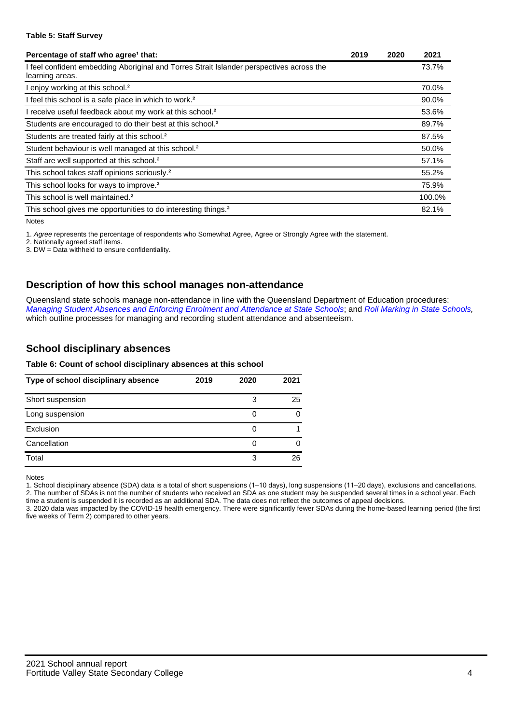#### **Table 5: Staff Survey**

| Percentage of staff who agree <sup>1</sup> that:                                                            | 2019 | 2020 | 2021   |
|-------------------------------------------------------------------------------------------------------------|------|------|--------|
| I feel confident embedding Aboriginal and Torres Strait Islander perspectives across the<br>learning areas. |      |      | 73.7%  |
| I enjoy working at this school. <sup>2</sup>                                                                |      |      | 70.0%  |
| I feel this school is a safe place in which to work. <sup>2</sup>                                           |      |      | 90.0%  |
| I receive useful feedback about my work at this school. <sup>2</sup>                                        |      |      | 53.6%  |
| Students are encouraged to do their best at this school. <sup>2</sup>                                       |      |      | 89.7%  |
| Students are treated fairly at this school. <sup>2</sup>                                                    |      |      | 87.5%  |
| Student behaviour is well managed at this school. <sup>2</sup>                                              |      |      | 50.0%  |
| Staff are well supported at this school. <sup>2</sup>                                                       |      |      | 57.1%  |
| This school takes staff opinions seriously. <sup>2</sup>                                                    |      |      | 55.2%  |
| This school looks for ways to improve. <sup>2</sup>                                                         |      |      | 75.9%  |
| This school is well maintained. <sup>2</sup>                                                                |      |      | 100.0% |
| This school gives me opportunities to do interesting things. <sup>2</sup>                                   |      |      | 82.1%  |

Notes

1. Agree represents the percentage of respondents who Somewhat Agree, Agree or Strongly Agree with the statement.

2. Nationally agreed staff items.

3. DW = Data withheld to ensure confidentiality.

#### **Description of how this school manages non-attendance**

Queensland state schools manage non-attendance in line with the Queensland Department of Education procedures: [Managing Student Absences and Enforcing Enrolment and Attendance at State Schools](https://ppr.qed.qld.gov.au/pp/managing-student-absences-and-enforcing-enrolment-and-attendance-at-state-schools-procedure); and [Roll Marking in State Schools,](https://ppr.qed.qld.gov.au/pp/roll-marking-in-state-schools-procedure) which outline processes for managing and recording student attendance and absenteeism.

#### **School disciplinary absences**

#### **Table 6: Count of school disciplinary absences at this school**

| Type of school disciplinary absence | 2019 | 2020 | 2021 |
|-------------------------------------|------|------|------|
| Short suspension                    |      | 3    | 25   |
| Long suspension                     |      |      |      |
| Exclusion                           |      |      |      |
| Cancellation                        |      |      |      |
| Total                               |      | З    | 26   |

Notes

1. School disciplinary absence (SDA) data is a total of short suspensions (1–10 days), long suspensions (11–20 days), exclusions and cancellations. 2. The number of SDAs is not the number of students who received an SDA as one student may be suspended several times in a school year. Each time a student is suspended it is recorded as an additional SDA. The data does not reflect the outcomes of appeal decisions.

3. 2020 data was impacted by the COVID-19 health emergency. There were significantly fewer SDAs during the home-based learning period (the first five weeks of Term 2) compared to other years.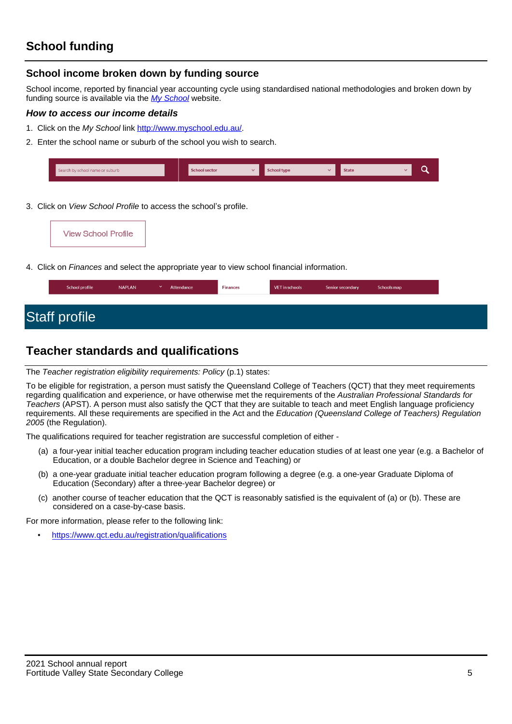#### **School income broken down by funding source**

School income, reported by financial year accounting cycle using standardised national methodologies and broken down by funding source is available via the [My School](http://www.myschool.edu.au/) website.

#### **How to access our income details**

- 1. Click on the My School link <http://www.myschool.edu.au/>.
- 2. Enter the school name or suburb of the school you wish to search.

| Search by school name or suburb | <b>School sector</b> | $\overline{\phantom{a}}$ | School type | <b>State</b> |  |
|---------------------------------|----------------------|--------------------------|-------------|--------------|--|
|                                 |                      |                          |             |              |  |

3. Click on View School Profile to access the school's profile.

| <b>View School Profile</b> |
|----------------------------|
|----------------------------|

4. Click on Finances and select the appropriate year to view school financial information.

## **Teacher standards and qualifications**

The Teacher registration eligibility requirements: Policy (p.1) states:

To be eligible for registration, a person must satisfy the Queensland College of Teachers (QCT) that they meet requirements regarding qualification and experience, or have otherwise met the requirements of the Australian Professional Standards for Teachers (APST). A person must also satisfy the QCT that they are suitable to teach and meet English language proficiency requirements. All these requirements are specified in the Act and the Education (Queensland College of Teachers) Regulation 2005 (the Regulation).

The qualifications required for teacher registration are successful completion of either -

- (a) a four-year initial teacher education program including teacher education studies of at least one year (e.g. a Bachelor of Education, or a double Bachelor degree in Science and Teaching) or
- (b) a one-year graduate initial teacher education program following a degree (e.g. a one-year Graduate Diploma of Education (Secondary) after a three-year Bachelor degree) or
- (c) another course of teacher education that the QCT is reasonably satisfied is the equivalent of (a) or (b). These are considered on a case-by-case basis.

For more information, please refer to the following link:

• <https://www.qct.edu.au/registration/qualifications>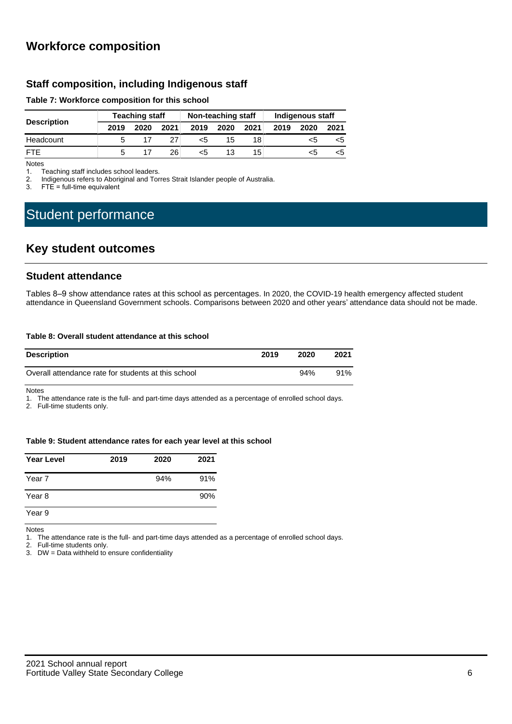### **Workforce composition**

#### **Staff composition, including Indigenous staff**

#### **Table 7: Workforce composition for this school**

|                    | <b>Teaching staff</b> |      |      | Non-teaching staff |      |      | Indigenous staff |      |      |
|--------------------|-----------------------|------|------|--------------------|------|------|------------------|------|------|
| <b>Description</b> | 2019                  | 2020 | 2021 | 2019               | 2020 | 2021 | 2019             | 2020 | 2021 |
| Headcount          |                       |      |      | <5                 | 15   | 18   |                  | ເລ   | כ>   |
| <b>FTF</b>         |                       |      | 26.  | <5                 | 13   | 15   |                  |      | כ>   |

Notes<br>1. T

Teaching staff includes school leaders.

2. Indigenous refers to Aboriginal and Torres Strait Islander people of Australia.<br>3. ETF = full-time equivalent

 $FTE = full-time equivalent$ 

# Student performance

### **Key student outcomes**

#### **Student attendance**

Tables 8–9 show attendance rates at this school as percentages. In 2020, the COVID-19 health emergency affected student attendance in Queensland Government schools. Comparisons between 2020 and other years' attendance data should not be made.

#### **Table 8: Overall student attendance at this school**

| <b>Description</b>                                  | 2019 | 2020 | 2021 |
|-----------------------------------------------------|------|------|------|
| Overall attendance rate for students at this school |      | 94%  | 91%  |

Notes

1. The attendance rate is the full- and part-time days attended as a percentage of enrolled school days.

2. Full-time students only.

#### **Table 9: Student attendance rates for each year level at this school**

| <b>Year Level</b> | 2019 | 2020 | 2021 |
|-------------------|------|------|------|
| Year 7            |      | 94%  | 91%  |
| Year 8            |      |      | 90%  |
| Year 9            |      |      |      |

Notes

1. The attendance rate is the full- and part-time days attended as a percentage of enrolled school days.<br>2. Full-time students only.

Full-time students only.

3. DW = Data withheld to ensure confidentiality